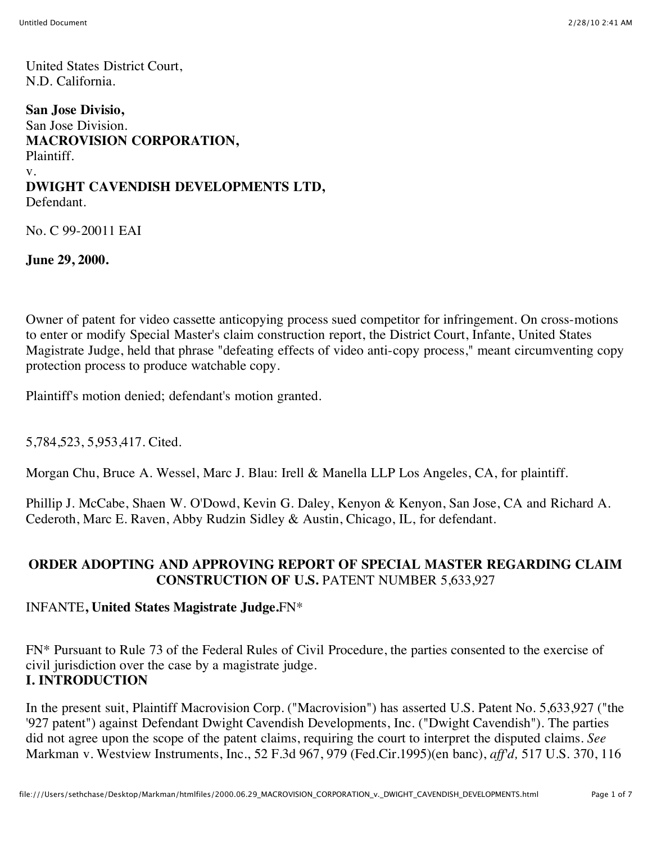United States District Court, N.D. California.

**San Jose Divisio,** San Jose Division. **MACROVISION CORPORATION,** Plaintiff. v. **DWIGHT CAVENDISH DEVELOPMENTS LTD,** Defendant.

No. C 99-20011 EAI

**June 29, 2000.**

Owner of patent for video cassette anticopying process sued competitor for infringement. On cross-motions to enter or modify Special Master's claim construction report, the District Court, Infante, United States Magistrate Judge, held that phrase "defeating effects of video anti-copy process," meant circumventing copy protection process to produce watchable copy.

Plaintiff's motion denied; defendant's motion granted.

5,784,523, 5,953,417. Cited.

Morgan Chu, Bruce A. Wessel, Marc J. Blau: Irell & Manella LLP Los Angeles, CA, for plaintiff.

Phillip J. McCabe, Shaen W. O'Dowd, Kevin G. Daley, Kenyon & Kenyon, San Jose, CA and Richard A. Cederoth, Marc E. Raven, Abby Rudzin Sidley & Austin, Chicago, IL, for defendant.

### **ORDER ADOPTING AND APPROVING REPORT OF SPECIAL MASTER REGARDING CLAIM CONSTRUCTION OF U.S.** PATENT NUMBER 5,633,927

INFANTE**, United States Magistrate Judge.**FN\*

FN\* Pursuant to Rule 73 of the Federal Rules of Civil Procedure, the parties consented to the exercise of civil jurisdiction over the case by a magistrate judge. **I. INTRODUCTION**

In the present suit, Plaintiff Macrovision Corp. ("Macrovision") has asserted U.S. Patent No. 5,633,927 ("the '927 patent") against Defendant Dwight Cavendish Developments, Inc. ("Dwight Cavendish"). The parties did not agree upon the scope of the patent claims, requiring the court to interpret the disputed claims. *See* Markman v. Westview Instruments, Inc., 52 F.3d 967, 979 (Fed.Cir.1995)(en banc), *aff'd,* 517 U.S. 370, 116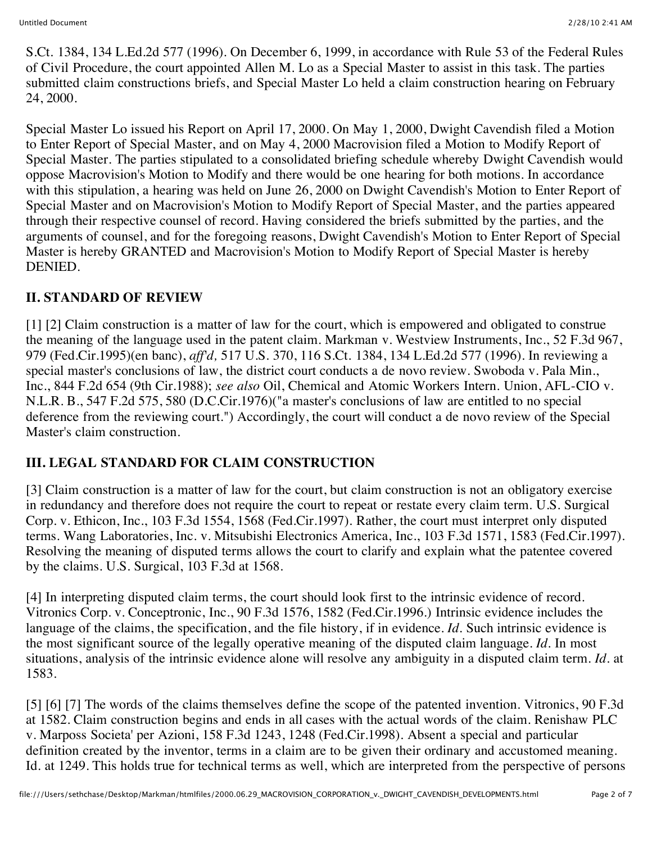S.Ct. 1384, 134 L.Ed.2d 577 (1996). On December 6, 1999, in accordance with Rule 53 of the Federal Rules of Civil Procedure, the court appointed Allen M. Lo as a Special Master to assist in this task. The parties submitted claim constructions briefs, and Special Master Lo held a claim construction hearing on February 24, 2000.

Special Master Lo issued his Report on April 17, 2000. On May 1, 2000, Dwight Cavendish filed a Motion to Enter Report of Special Master, and on May 4, 2000 Macrovision filed a Motion to Modify Report of Special Master. The parties stipulated to a consolidated briefing schedule whereby Dwight Cavendish would oppose Macrovision's Motion to Modify and there would be one hearing for both motions. In accordance with this stipulation, a hearing was held on June 26, 2000 on Dwight Cavendish's Motion to Enter Report of Special Master and on Macrovision's Motion to Modify Report of Special Master, and the parties appeared through their respective counsel of record. Having considered the briefs submitted by the parties, and the arguments of counsel, and for the foregoing reasons, Dwight Cavendish's Motion to Enter Report of Special Master is hereby GRANTED and Macrovision's Motion to Modify Report of Special Master is hereby DENIED.

## **II. STANDARD OF REVIEW**

[1] [2] Claim construction is a matter of law for the court, which is empowered and obligated to construe the meaning of the language used in the patent claim. Markman v. Westview Instruments, Inc., 52 F.3d 967, 979 (Fed.Cir.1995)(en banc), *aff'd,* 517 U.S. 370, 116 S.Ct. 1384, 134 L.Ed.2d 577 (1996). In reviewing a special master's conclusions of law, the district court conducts a de novo review. Swoboda v. Pala Min., Inc., 844 F.2d 654 (9th Cir.1988); *see also* Oil, Chemical and Atomic Workers Intern. Union, AFL-CIO v. N.L.R. B., 547 F.2d 575, 580 (D.C.Cir.1976)("a master's conclusions of law are entitled to no special deference from the reviewing court.") Accordingly, the court will conduct a de novo review of the Special Master's claim construction.

## **III. LEGAL STANDARD FOR CLAIM CONSTRUCTION**

[3] Claim construction is a matter of law for the court, but claim construction is not an obligatory exercise in redundancy and therefore does not require the court to repeat or restate every claim term. U.S. Surgical Corp. v. Ethicon, Inc., 103 F.3d 1554, 1568 (Fed.Cir.1997). Rather, the court must interpret only disputed terms. Wang Laboratories, Inc. v. Mitsubishi Electronics America, Inc., 103 F.3d 1571, 1583 (Fed.Cir.1997). Resolving the meaning of disputed terms allows the court to clarify and explain what the patentee covered by the claims. U.S. Surgical, 103 F.3d at 1568.

[4] In interpreting disputed claim terms, the court should look first to the intrinsic evidence of record. Vitronics Corp. v. Conceptronic, Inc., 90 F.3d 1576, 1582 (Fed.Cir.1996.) Intrinsic evidence includes the language of the claims, the specification, and the file history, if in evidence. *Id.* Such intrinsic evidence is the most significant source of the legally operative meaning of the disputed claim language. *Id.* In most situations, analysis of the intrinsic evidence alone will resolve any ambiguity in a disputed claim term. *Id.* at 1583.

[5] [6] [7] The words of the claims themselves define the scope of the patented invention. Vitronics, 90 F.3d at 1582. Claim construction begins and ends in all cases with the actual words of the claim. Renishaw PLC v. Marposs Societa' per Azioni, 158 F.3d 1243, 1248 (Fed.Cir.1998). Absent a special and particular definition created by the inventor, terms in a claim are to be given their ordinary and accustomed meaning. Id. at 1249. This holds true for technical terms as well, which are interpreted from the perspective of persons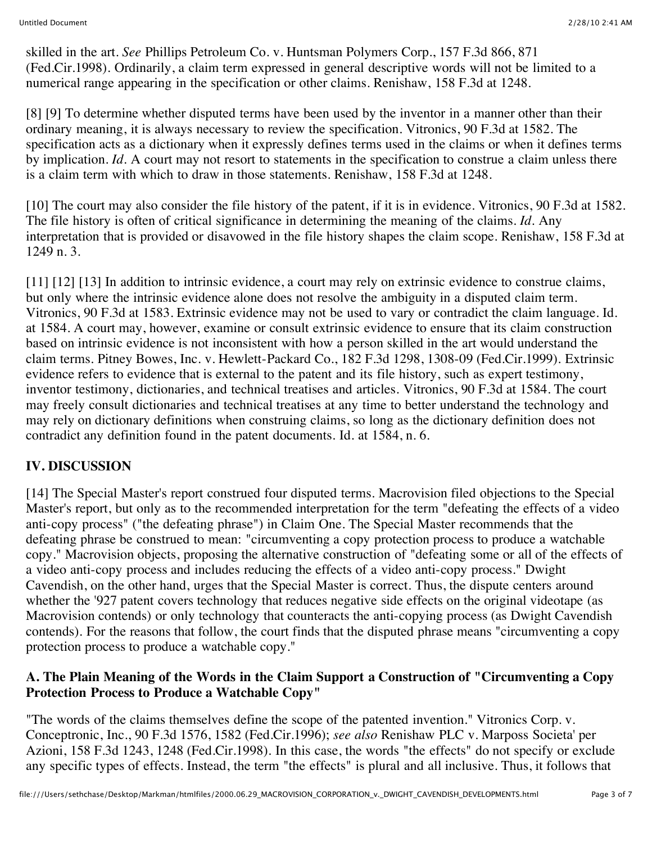skilled in the art. *See* Phillips Petroleum Co. v. Huntsman Polymers Corp., 157 F.3d 866, 871 (Fed.Cir.1998). Ordinarily, a claim term expressed in general descriptive words will not be limited to a numerical range appearing in the specification or other claims. Renishaw, 158 F.3d at 1248.

[8] [9] To determine whether disputed terms have been used by the inventor in a manner other than their ordinary meaning, it is always necessary to review the specification. Vitronics, 90 F.3d at 1582. The specification acts as a dictionary when it expressly defines terms used in the claims or when it defines terms by implication. *Id.* A court may not resort to statements in the specification to construe a claim unless there is a claim term with which to draw in those statements. Renishaw, 158 F.3d at 1248.

[10] The court may also consider the file history of the patent, if it is in evidence. Vitronics, 90 F.3d at 1582. The file history is often of critical significance in determining the meaning of the claims. *Id.* Any interpretation that is provided or disavowed in the file history shapes the claim scope. Renishaw, 158 F.3d at 1249 n. 3.

[11] [12] [13] In addition to intrinsic evidence, a court may rely on extrinsic evidence to construe claims, but only where the intrinsic evidence alone does not resolve the ambiguity in a disputed claim term. Vitronics, 90 F.3d at 1583. Extrinsic evidence may not be used to vary or contradict the claim language. Id. at 1584. A court may, however, examine or consult extrinsic evidence to ensure that its claim construction based on intrinsic evidence is not inconsistent with how a person skilled in the art would understand the claim terms. Pitney Bowes, Inc. v. Hewlett-Packard Co., 182 F.3d 1298, 1308-09 (Fed.Cir.1999). Extrinsic evidence refers to evidence that is external to the patent and its file history, such as expert testimony, inventor testimony, dictionaries, and technical treatises and articles. Vitronics, 90 F.3d at 1584. The court may freely consult dictionaries and technical treatises at any time to better understand the technology and may rely on dictionary definitions when construing claims, so long as the dictionary definition does not contradict any definition found in the patent documents. Id. at 1584, n. 6.

## **IV. DISCUSSION**

[14] The Special Master's report construed four disputed terms. Macrovision filed objections to the Special Master's report, but only as to the recommended interpretation for the term "defeating the effects of a video anti-copy process" ("the defeating phrase") in Claim One. The Special Master recommends that the defeating phrase be construed to mean: "circumventing a copy protection process to produce a watchable copy." Macrovision objects, proposing the alternative construction of "defeating some or all of the effects of a video anti-copy process and includes reducing the effects of a video anti-copy process." Dwight Cavendish, on the other hand, urges that the Special Master is correct. Thus, the dispute centers around whether the '927 patent covers technology that reduces negative side effects on the original videotape (as Macrovision contends) or only technology that counteracts the anti-copying process (as Dwight Cavendish contends). For the reasons that follow, the court finds that the disputed phrase means "circumventing a copy protection process to produce a watchable copy."

### **A. The Plain Meaning of the Words in the Claim Support a Construction of "Circumventing a Copy Protection Process to Produce a Watchable Copy"**

"The words of the claims themselves define the scope of the patented invention." Vitronics Corp. v. Conceptronic, Inc., 90 F.3d 1576, 1582 (Fed.Cir.1996); *see also* Renishaw PLC v. Marposs Societa' per Azioni, 158 F.3d 1243, 1248 (Fed.Cir.1998). In this case, the words "the effects" do not specify or exclude any specific types of effects. Instead, the term "the effects" is plural and all inclusive. Thus, it follows that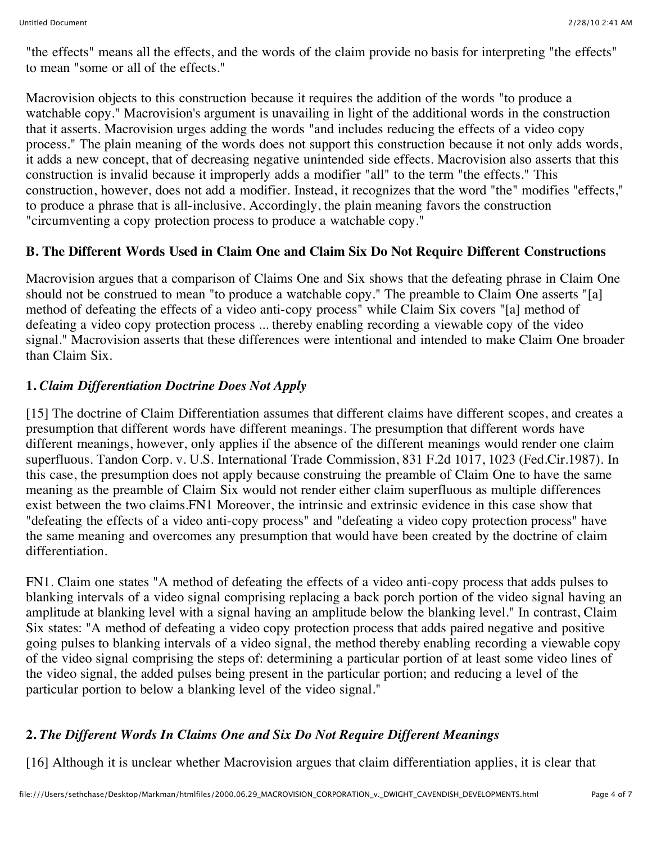"the effects" means all the effects, and the words of the claim provide no basis for interpreting "the effects" to mean "some or all of the effects."

Macrovision objects to this construction because it requires the addition of the words "to produce a watchable copy." Macrovision's argument is unavailing in light of the additional words in the construction that it asserts. Macrovision urges adding the words "and includes reducing the effects of a video copy process." The plain meaning of the words does not support this construction because it not only adds words, it adds a new concept, that of decreasing negative unintended side effects. Macrovision also asserts that this construction is invalid because it improperly adds a modifier "all" to the term "the effects." This construction, however, does not add a modifier. Instead, it recognizes that the word "the" modifies "effects," to produce a phrase that is all-inclusive. Accordingly, the plain meaning favors the construction "circumventing a copy protection process to produce a watchable copy."

# **B. The Different Words Used in Claim One and Claim Six Do Not Require Different Constructions**

Macrovision argues that a comparison of Claims One and Six shows that the defeating phrase in Claim One should not be construed to mean "to produce a watchable copy." The preamble to Claim One asserts "[a] method of defeating the effects of a video anti-copy process" while Claim Six covers "[a] method of defeating a video copy protection process ... thereby enabling recording a viewable copy of the video signal." Macrovision asserts that these differences were intentional and intended to make Claim One broader than Claim Six.

# **1.** *Claim Differentiation Doctrine Does Not Apply*

[15] The doctrine of Claim Differentiation assumes that different claims have different scopes, and creates a presumption that different words have different meanings. The presumption that different words have different meanings, however, only applies if the absence of the different meanings would render one claim superfluous. Tandon Corp. v. U.S. International Trade Commission, 831 F.2d 1017, 1023 (Fed.Cir.1987). In this case, the presumption does not apply because construing the preamble of Claim One to have the same meaning as the preamble of Claim Six would not render either claim superfluous as multiple differences exist between the two claims.FN1 Moreover, the intrinsic and extrinsic evidence in this case show that "defeating the effects of a video anti-copy process" and "defeating a video copy protection process" have the same meaning and overcomes any presumption that would have been created by the doctrine of claim differentiation.

FN1. Claim one states "A method of defeating the effects of a video anti-copy process that adds pulses to blanking intervals of a video signal comprising replacing a back porch portion of the video signal having an amplitude at blanking level with a signal having an amplitude below the blanking level." In contrast, Claim Six states: "A method of defeating a video copy protection process that adds paired negative and positive going pulses to blanking intervals of a video signal, the method thereby enabling recording a viewable copy of the video signal comprising the steps of: determining a particular portion of at least some video lines of the video signal, the added pulses being present in the particular portion; and reducing a level of the particular portion to below a blanking level of the video signal."

## **2.** *The Different Words In Claims One and Six Do Not Require Different Meanings*

[16] Although it is unclear whether Macrovision argues that claim differentiation applies, it is clear that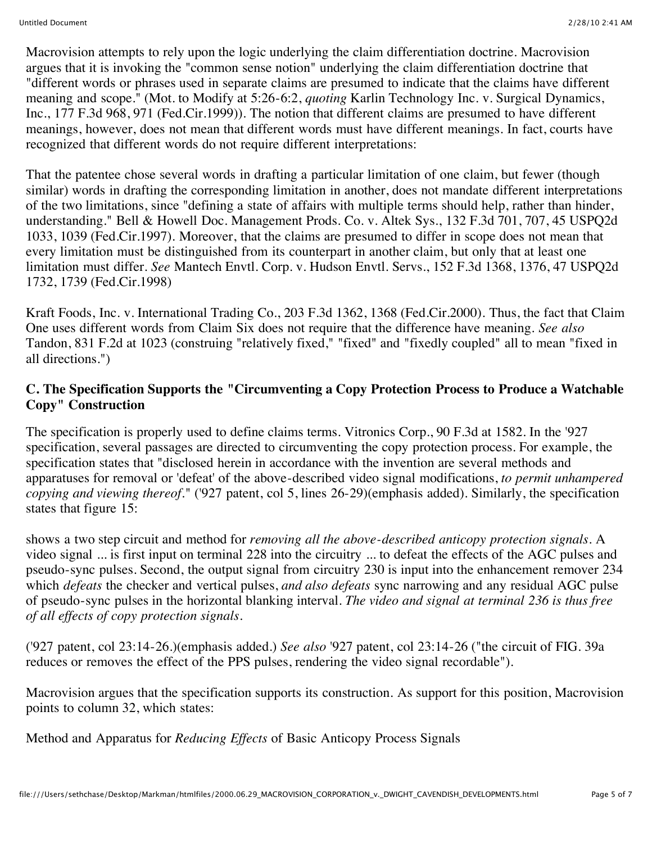Macrovision attempts to rely upon the logic underlying the claim differentiation doctrine. Macrovision argues that it is invoking the "common sense notion" underlying the claim differentiation doctrine that "different words or phrases used in separate claims are presumed to indicate that the claims have different meaning and scope." (Mot. to Modify at 5:26-6:2, *quoting* Karlin Technology Inc. v. Surgical Dynamics, Inc., 177 F.3d 968, 971 (Fed.Cir.1999)). The notion that different claims are presumed to have different meanings, however, does not mean that different words must have different meanings. In fact, courts have recognized that different words do not require different interpretations:

That the patentee chose several words in drafting a particular limitation of one claim, but fewer (though similar) words in drafting the corresponding limitation in another, does not mandate different interpretations of the two limitations, since "defining a state of affairs with multiple terms should help, rather than hinder, understanding." Bell & Howell Doc. Management Prods. Co. v. Altek Sys., 132 F.3d 701, 707, 45 USPQ2d 1033, 1039 (Fed.Cir.1997). Moreover, that the claims are presumed to differ in scope does not mean that every limitation must be distinguished from its counterpart in another claim, but only that at least one limitation must differ. *See* Mantech Envtl. Corp. v. Hudson Envtl. Servs., 152 F.3d 1368, 1376, 47 USPQ2d 1732, 1739 (Fed.Cir.1998)

Kraft Foods, Inc. v. International Trading Co., 203 F.3d 1362, 1368 (Fed.Cir.2000). Thus, the fact that Claim One uses different words from Claim Six does not require that the difference have meaning. *See also* Tandon, 831 F.2d at 1023 (construing "relatively fixed," "fixed" and "fixedly coupled" all to mean "fixed in all directions.")

## **C. The Specification Supports the "Circumventing a Copy Protection Process to Produce a Watchable Copy" Construction**

The specification is properly used to define claims terms. Vitronics Corp., 90 F.3d at 1582. In the '927 specification, several passages are directed to circumventing the copy protection process. For example, the specification states that "disclosed herein in accordance with the invention are several methods and apparatuses for removal or 'defeat' of the above-described video signal modifications, *to permit unhampered copying and viewing thereof.*" ('927 patent, col 5, lines 26-29)(emphasis added). Similarly, the specification states that figure 15:

shows a two step circuit and method for *removing all the above-described anticopy protection signals.* A video signal ... is first input on terminal 228 into the circuitry ... to defeat the effects of the AGC pulses and pseudo-sync pulses. Second, the output signal from circuitry 230 is input into the enhancement remover 234 which *defeats* the checker and vertical pulses, *and also defeats* sync narrowing and any residual AGC pulse of pseudo-sync pulses in the horizontal blanking interval. *The video and signal at terminal 236 is thus free of all effects of copy protection signals.*

('927 patent, col 23:14-26.)(emphasis added.) *See also* '927 patent, col 23:14-26 ("the circuit of FIG. 39a reduces or removes the effect of the PPS pulses, rendering the video signal recordable").

Macrovision argues that the specification supports its construction. As support for this position, Macrovision points to column 32, which states:

Method and Apparatus for *Reducing Effects* of Basic Anticopy Process Signals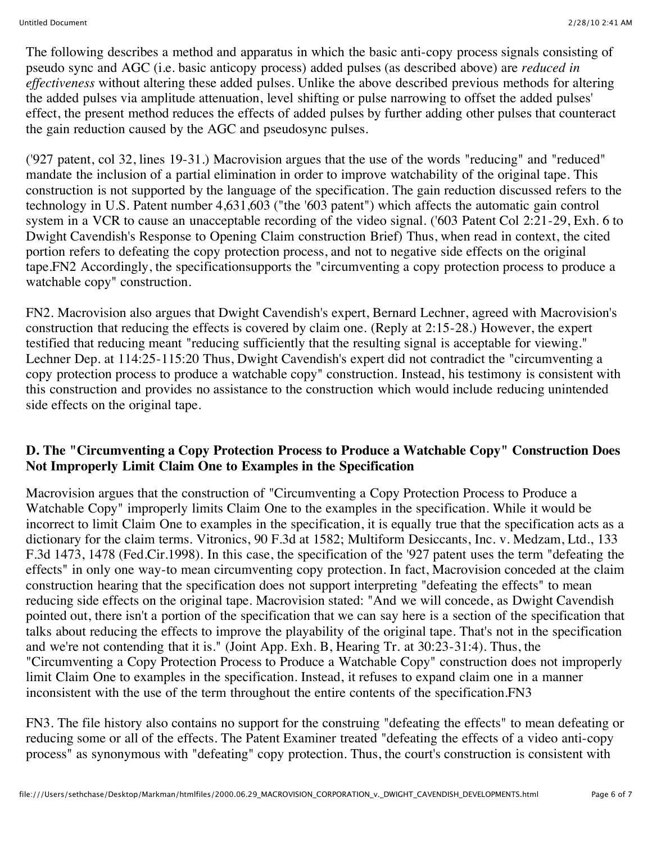The following describes a method and apparatus in which the basic anti-copy process signals consisting of pseudo sync and AGC (i.e. basic anticopy process) added pulses (as described above) are *reduced in effectiveness* without altering these added pulses. Unlike the above described previous methods for altering the added pulses via amplitude attenuation, level shifting or pulse narrowing to offset the added pulses' effect, the present method reduces the effects of added pulses by further adding other pulses that counteract the gain reduction caused by the AGC and pseudosync pulses.

('927 patent, col 32, lines 19-31.) Macrovision argues that the use of the words "reducing" and "reduced" mandate the inclusion of a partial elimination in order to improve watchability of the original tape. This construction is not supported by the language of the specification. The gain reduction discussed refers to the technology in U.S. Patent number 4,631,603 ("the '603 patent") which affects the automatic gain control system in a VCR to cause an unacceptable recording of the video signal. ('603 Patent Col 2:21-29, Exh. 6 to Dwight Cavendish's Response to Opening Claim construction Brief) Thus, when read in context, the cited portion refers to defeating the copy protection process, and not to negative side effects on the original tape.FN2 Accordingly, the specificationsupports the "circumventing a copy protection process to produce a watchable copy" construction.

FN2. Macrovision also argues that Dwight Cavendish's expert, Bernard Lechner, agreed with Macrovision's construction that reducing the effects is covered by claim one. (Reply at 2:15-28.) However, the expert testified that reducing meant "reducing sufficiently that the resulting signal is acceptable for viewing." Lechner Dep. at 114:25-115:20 Thus, Dwight Cavendish's expert did not contradict the "circumventing a copy protection process to produce a watchable copy" construction. Instead, his testimony is consistent with this construction and provides no assistance to the construction which would include reducing unintended side effects on the original tape.

## **D. The "Circumventing a Copy Protection Process to Produce a Watchable Copy" Construction Does Not Improperly Limit Claim One to Examples in the Specification**

Macrovision argues that the construction of "Circumventing a Copy Protection Process to Produce a Watchable Copy" improperly limits Claim One to the examples in the specification. While it would be incorrect to limit Claim One to examples in the specification, it is equally true that the specification acts as a dictionary for the claim terms. Vitronics, 90 F.3d at 1582; Multiform Desiccants, Inc. v. Medzam, Ltd., 133 F.3d 1473, 1478 (Fed.Cir.1998). In this case, the specification of the '927 patent uses the term "defeating the effects" in only one way-to mean circumventing copy protection. In fact, Macrovision conceded at the claim construction hearing that the specification does not support interpreting "defeating the effects" to mean reducing side effects on the original tape. Macrovision stated: "And we will concede, as Dwight Cavendish pointed out, there isn't a portion of the specification that we can say here is a section of the specification that talks about reducing the effects to improve the playability of the original tape. That's not in the specification and we're not contending that it is." (Joint App. Exh. B, Hearing Tr. at 30:23-31:4). Thus, the "Circumventing a Copy Protection Process to Produce a Watchable Copy" construction does not improperly limit Claim One to examples in the specification. Instead, it refuses to expand claim one in a manner inconsistent with the use of the term throughout the entire contents of the specification.FN3

FN3. The file history also contains no support for the construing "defeating the effects" to mean defeating or reducing some or all of the effects. The Patent Examiner treated "defeating the effects of a video anti-copy process" as synonymous with "defeating" copy protection. Thus, the court's construction is consistent with